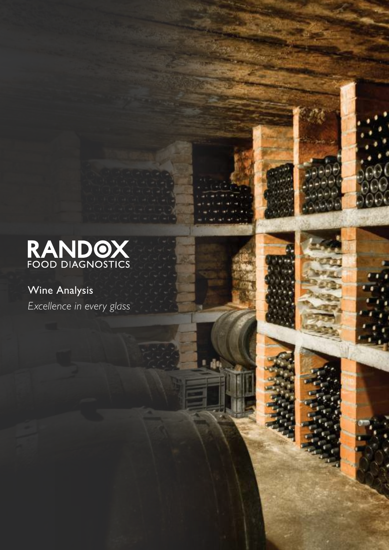

# Wine Analysis *Excellence in every glass*







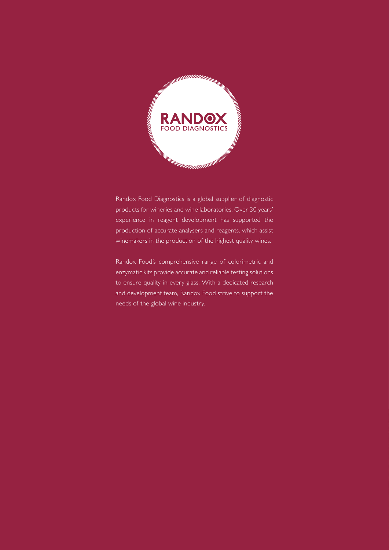

Randox Food Diagnostics is a global supplier of diagnostic products for wineries and wine laboratories. Over 30 years' experience in reagent development has supported the production of accurate analysers and reagents, which assist winemakers in the production of the highest quality wines.

Randox Food's comprehensive range of colorimetric and enzymatic kits provide accurate and reliable testing solutions to ensure quality in every glass. With a dedicated research and development team, Randox Food strive to support the needs of the global wine industry.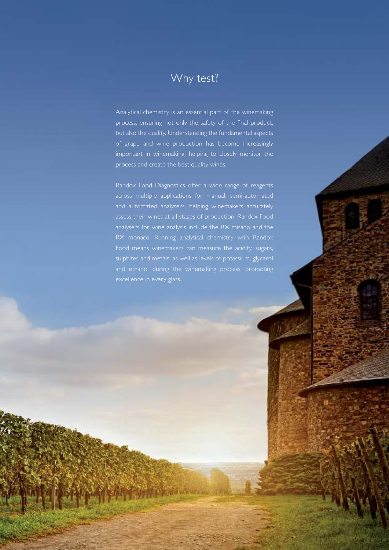### Why test?

Analytical chemistry is an essential part of the winemaking process, ensuring not only the safety of the final product, but also the quality. Understanding the fundamental aspects of grape and wine production has become increasingly important in winemaking, helping to closely monitor the process and create the best quality wines.

Randox Food Diagnostics offer a wide range of reagents across multiple applications for manual, semi-automated and automated analysers, helping winemakers accurately assess their wines at all stages of production. Randox Food Food means winemakers can measure the acidity, sugars, sulphites and metals, as well as levels of potassium, glycerol excellence in every glass.

**ANTONIAN AND ALLE**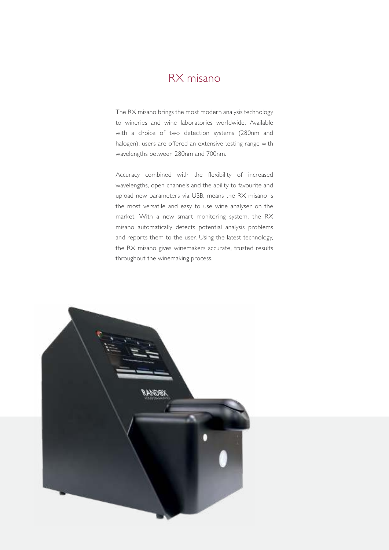### RX misano

The RX misano brings the most modern analysis technology to wineries and wine laboratories worldwide. Available with a choice of two detection systems (280nm and halogen), users are offered an extensive testing range with wavelengths between 280nm and 700nm.

Accuracy combined with the flexibility of increased wavelengths, open channels and the ability to favourite and upload new parameters via USB, means the RX misano is the most versatile and easy to use wine analyser on the market. With a new smart monitoring system, the RX misano automatically detects potential analysis problems and reports them to the user. Using the latest technology, the RX misano gives winemakers accurate, trusted results throughout the winemaking process.

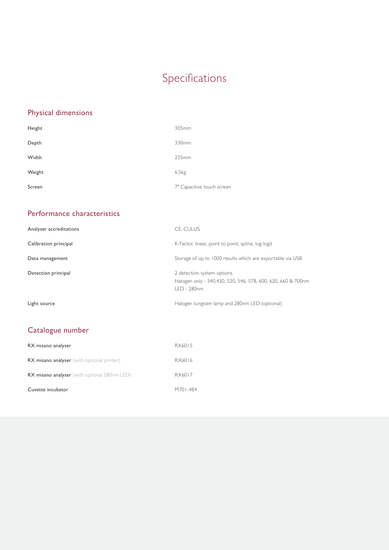# Specifications

### Physical dimensions

| Height | 305mm                      |
|--------|----------------------------|
| Depth  | 330mm                      |
| Width  | 235mm                      |
| Weight | 6.5kg                      |
| Screen | 7" Capacitive touch screen |

### Performance characteristics

| Analyser accreditations | CE. CULUS                                                                                                 |
|-------------------------|-----------------------------------------------------------------------------------------------------------|
| Calibration principal   | K-Factor, linear, point to point, spline, log-logit                                                       |
| Data management         | Storage of up to 1000 results which are exportable via USB                                                |
| Detection principal     | 2 detection system options<br>Halogen only - 340,420, 520, 546, 578, 600, 620, 660 & 700nm<br>LED - 280nm |
| Light source            | Halogen tungsten lamp and 280nm LED (optional)                                                            |
|                         |                                                                                                           |

### Catalogue number

| RX misano analyser                                  | RX6015   |
|-----------------------------------------------------|----------|
| <b>RX misano analyser</b> (with optional printer)   | RX6016   |
| <b>RX misano analyser</b> (with optional 280nm LED) | RX6017   |
| Cuvette incubator                                   | M701-484 |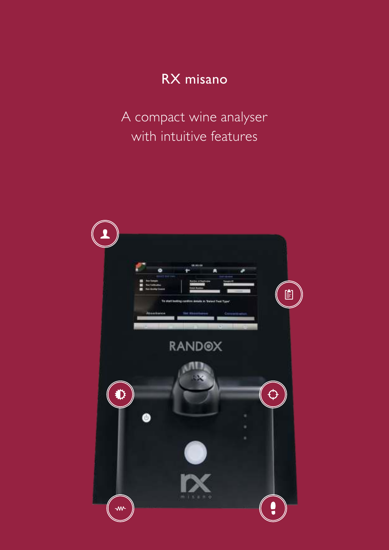# RX misano

A compact wine analyser with intuitive features

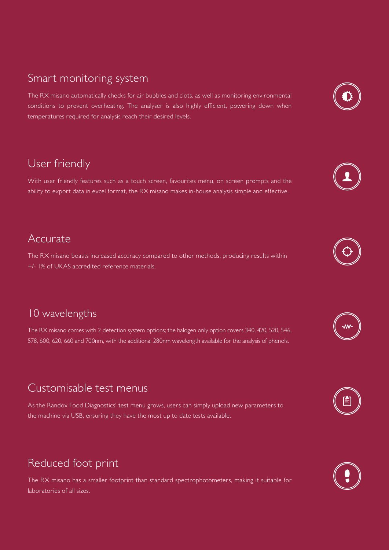### Smart monitoring system

The RX misano automatically checks for air bubbles and clots, as well as monitoring environmental conditions to prevent overheating. The analyser is also highly efficient, powering down when temperatures required for analysis reach their desired levels.

## User friendly

With user friendly features such as a touch screen, favourites menu, on screen prompts and the ability to export data in excel format, the RX misano makes in-house analysis simple and effective.

### Accurate

The RX misano boasts increased accuracy compared to other methods, producing results within +/- 1% of UKAS accredited reference materials.

### 10 wavelengths

The RX misano comes with 2 detection system options; the halogen only option covers 340, 420, 520, 546, 578, 600, 620, 660 and 700nm, with the additional 280nm wavelength available for the analysis of phenols.

## Customisable test menus

As the Randox Food Diagnostics' test menu grows, users can simply upload new parameters to the machine via USB, ensuring they have the most up to date tests available.

## Reduced foot print

The RX misano has a smaller footprint than standard spectrophotometers, making it suitable for laboratories of all sizes.









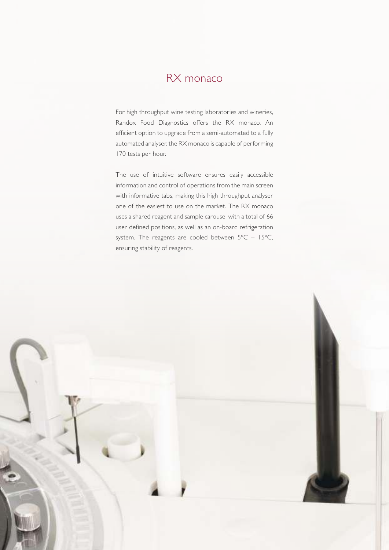### RX monaco

For high throughput wine testing laboratories and wineries, Randox Food Diagnostics offers the RX monaco. An efficient option to upgrade from a semi-automated to a fully automated analyser, the RX monaco is capable of performing 170 tests per hour.

The use of intuitive software ensures easily accessible information and control of operations from the main screen with informative tabs, making this high throughput analyser one of the easiest to use on the market. The RX monaco uses a shared reagent and sample carousel with a total of 66 user defined positions, as well as an on-board refrigeration system. The reagents are cooled between 5ºC – 15ºC, ensuring stability of reagents.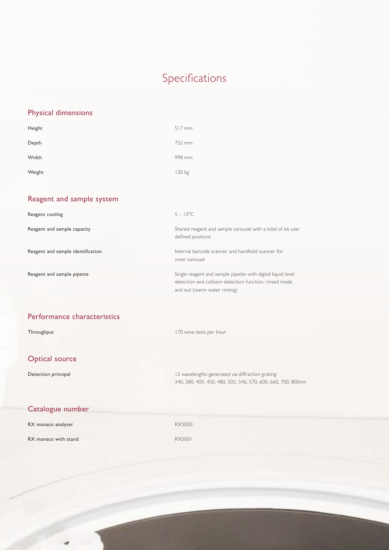# Specifications

### Physical dimensions

| Height | 517 mm |
|--------|--------|
| Depth  | 752 mm |
| Width  | 998 mm |
| Weight | 120 kg |

### Reagent and sample system

| Reagent cooling                   | $5 - 15^{\circ}$ C                                                                                                                                       |
|-----------------------------------|----------------------------------------------------------------------------------------------------------------------------------------------------------|
| Reagent and sample capacity       | Shared reagent and sample carousel with a total of 66 user<br>defined positions                                                                          |
| Reagent and sample identification | Internal barcode scanner and handheld scanner for<br>inner carousel                                                                                      |
| Reagent and sample pipette        | Single reagent and sample pipette with digital liquid level<br>detection and collision detection function, rinsed inside<br>and out (warm water rinsing) |

### Performance characteristics

| Throughput            | 170 wine tests per hour                                                                                           |
|-----------------------|-------------------------------------------------------------------------------------------------------------------|
| <b>Optical source</b> |                                                                                                                   |
| Detection principal   | 12 wavelengths generated via diffraction grating:<br>340, 380, 405, 450, 480, 505, 546, 570, 600, 660, 700, 800nm |
| Catalogue number      |                                                                                                                   |
| RX monaco analyser    | <b>RX5000</b>                                                                                                     |
| RX monaco with stand  | RX5001                                                                                                            |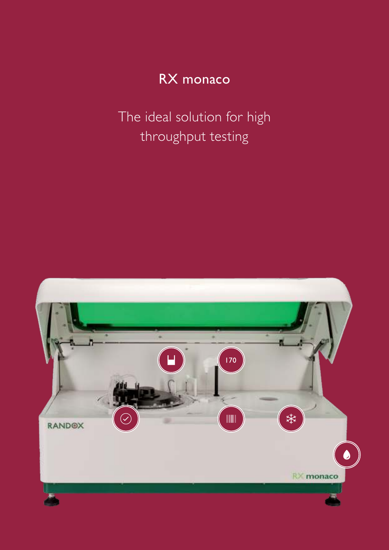# RX monaco

The ideal solution for high throughput testing

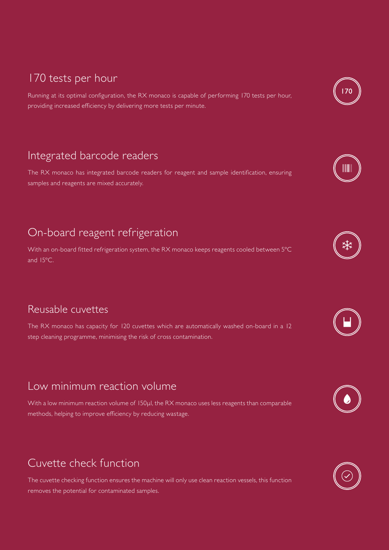## 170 tests per hour

Running at its optimal configuration, the RX monaco is capable of performing 170 tests per hour, providing increased efficiency by delivering more tests per minute.

### Integrated barcode readers

The RX monaco has integrated barcode readers for reagent and sample identification, ensuring samples and reagents are mixed accurately.

### On-board reagent refrigeration

With an on-board fitted refrigeration system, the RX monaco keeps reagents cooled between 5ºC and 15ºC.

### Reusable cuvettes

The RX monaco has capacity for 120 cuvettes which are automatically washed on-board in a 12 step cleaning programme, minimising the risk of cross contamination.

### Low minimum reaction volume

With a low minimum reaction volume of 150μl, the RX monaco uses less reagents than comparable methods, helping to improve efficiency by reducing wastage.

## Cuvette check function

The cuvette checking function ensures the machine will only use clean reaction vessels, this function removes the potential for contaminated samples.













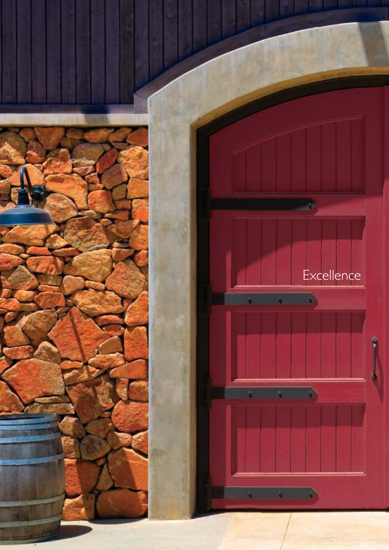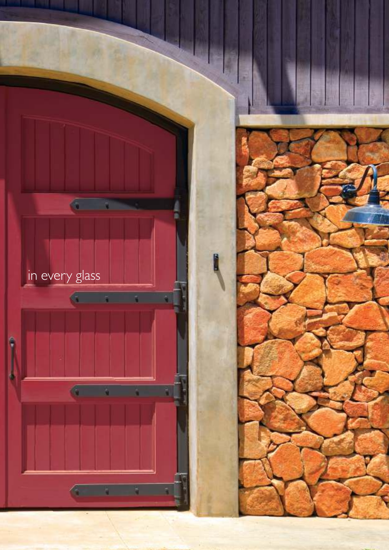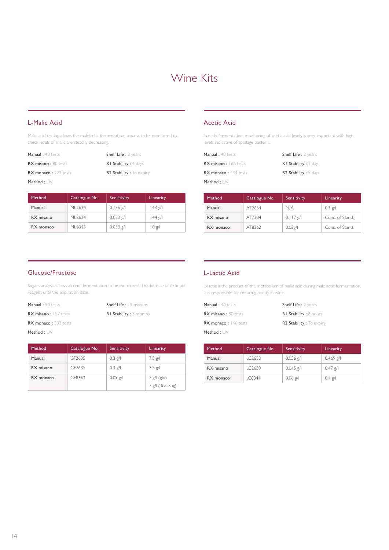### Wine Kits

### L-Malic Acid

Malic acid testing allows the malolactic fermentation process to be monitored to check levels of malic are steadily decreasing.

| Manual: 40 tests            | <b>Shelf Life: 2 years</b> |  |
|-----------------------------|----------------------------|--|
| <b>RX misano: 80 tests</b>  | RI Stability : 4 days      |  |
| <b>RX</b> monaco: 222 tests | R2 Stability : To expiry   |  |
| Method : $\cup\vee$         |                            |  |

| Method    | Catalogue No. | Sensitivity | Linearity  |
|-----------|---------------|-------------|------------|
| Manual    | MI 2634       | $0.136$ g/l | $1.43$ g/l |
| RX misano | MI 2634       | $0.053$ g/l | $1.44$ g/l |
| RX monaco | MI 8343       | $0.053$ g/l | 1.0 g/l    |

#### Acetic Acid

In early fermentation, monitoring of acetic acid levels is very important with high levels indicative of spoilage bacteria.

| Manual: 40 tests             | <b>Shelf Life: 2 years</b> |
|------------------------------|----------------------------|
| <b>RX misano</b> : 166 tests | RI Stability :   day       |
| <b>RX</b> monaco: 444 tests  | R2 Stability : 5 days      |
| Method: $UV$                 |                            |

| Method    | Catalogue No.      | Sensitivity | Linearity       |
|-----------|--------------------|-------------|-----------------|
| Manual    | AT <sub>2654</sub> | N/A         | $0.3$ g/l       |
| RX misano | AT7304             | $0.117$ g/l | Conc. of Stand. |
| RX monaco | AT8362             | 0.03g/l     | Conc. of Stand. |

#### Glucose/Fructose

Sugars analysis allows alcohol fermentation to be monitored. This kit is a stable liquid reagent until the expiration date.

| <b>Manual:</b> 50 tests     | <b>Shelf Life:</b> 15 months  |
|-----------------------------|-------------------------------|
| <b>RX misano: 157 tests</b> | <b>RI Stability: 3 months</b> |

RX monaco : 333 tests

 $Method: \cup \vee$ 

| Method    | Catalogue No. | Sensitivity | Linearity                       |
|-----------|---------------|-------------|---------------------------------|
| Manual    | GF2635        | $0.3$ g/l   | $7.5$ g/l                       |
| RX misano | GF2635        | $0.3$ g/l   | $7.5$ g/l                       |
| RX monaco | GF8363        | $0.09$ g/l  | 7 g/l (glu)<br>7 g/l (Tot. Sug) |

#### L-Lactic Acid

L-lactic is the product of the metabolism of malic acid during malolactic fermentation. It is responsible for reducing acidity in wine.

| Manual: 40 tests            | <b>Shelf Life: 2 years</b>   |
|-----------------------------|------------------------------|
| <b>RX misano</b> : 80 tests | <b>RI Stability: 8 hours</b> |
| RX monaco: 146 tests        | R2 Stability : To expiry     |
| Method : $\cup\vee$         |                              |

| Method    | Catalogue No.       | Sensitivity | Linearity   |
|-----------|---------------------|-------------|-------------|
| Manual    | I C <sub>2653</sub> | $0.056$ g/l | $0.469$ g/l |
| RX misano | I C <sub>2653</sub> | $0.045$ g/l | $0.47$ g/l  |
| RX monaco | LC8344              | $0.06$ g/l  | $0.4$ g/l   |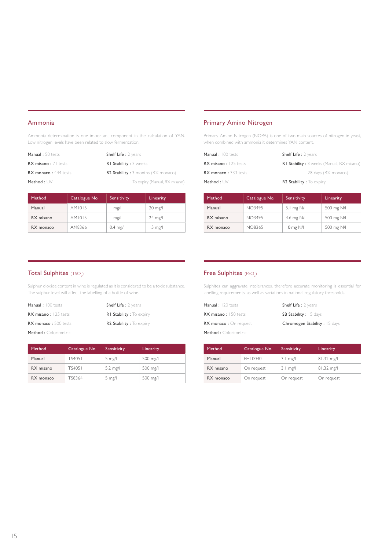#### Ammonia

Ammonia determination is one important component in the calculation of YAN. Low nitrogen levels have been related to slow fermentation.

| Manual: 50 tests            | <b>Shelf Life: 2 years</b>                 |
|-----------------------------|--------------------------------------------|
| <b>RX misano</b> : 71 tests | <b>RI Stability: 3 weeks</b>               |
| <b>RX monaco: 444 tests</b> | <b>R2 Stability</b> : 3 months (RX monaco) |
| Method: $UV$                | To expiry (Manual, RX misano)              |

| Method    | Catalogue No. | Sensitivity      | Linearity         |
|-----------|---------------|------------------|-------------------|
| Manual    | AM1015        | l mg/l           | $20$ mg/          |
| RX misano | AM1015        | $1 \text{ mg}/1$ | $24$ mg/          |
| RX monaco | AM8366        | $0.4$ mg/l       | $15 \text{ mg/l}$ |

#### Primary Amino Nitrogen

Primary Amino Nitrogen (NOPA) is one of two main sources of nitrogen in yeast, when combined with ammonia it determines YAN content.

| Manual: 100 tests           | <b>Shelf Life: 2 years</b>                        |
|-----------------------------|---------------------------------------------------|
| $RX$ misano: 125 tests      | <b>RI Stability</b> : 3 weeks (Manual, RX misano) |
| <b>RX</b> monaco: 333 tests | 28 days (RX monaco)                               |
| Method: $UV$                | R2 Stability : To expiry                          |

| Method    | Catalogue No. | Sensitivity          | Linearity  |
|-----------|---------------|----------------------|------------|
| Manual    | NO3495        | 5.1 mg N/I           | 500 mg N/I |
| RX misano | NO3495        | 4.6 mg N/I           | 500 mg N/I |
| RX monaco | NO8365        | $10 \text{ mg } N/I$ | 500 mg N/I |

#### Total Sulphites  $(TSO_2)$

Sulphur dioxide content in wine is regulated as it is considered to be a toxic substance. The sulphur level will affect the labelling of a bottle of wine.

| Manual: 100 tests           | <b>Shelf Life: 2 years</b>     |
|-----------------------------|--------------------------------|
| <b>RX misano: 125 tests</b> | <b>RI Stability:</b> To expiry |
| <b>RX monaco:</b> 500 tests | R2 Stability : To expiry       |

Method : Colorimetric

| Method    | Catalogue No. | Sensitivity      | Linearity |
|-----------|---------------|------------------|-----------|
| Manual    | TS4051        | $5$ mg/l         | 500 mg/l  |
| RX misano | TS4051        | $5.2$ mg/l       | 500 mg/l  |
| RX monaco | TS8364        | $5 \text{ mg/l}$ | 500 mg/l  |

#### **Free Sulphites** (FSO<sub>2</sub>)

Sulphites can aggravate intolerances, therefore accurate monitoring is essential for labelling requirements, as well as variations in national regulatory thresholds.

| Manual: 120 tests           | <b>Shelf Life: 2 years</b>          |
|-----------------------------|-------------------------------------|
| <b>RX misano: 150 tests</b> | SB Stability : 15 days              |
| RX monaco: On request       | <b>Chromogen Stability:</b> 15 days |
| Method: Colorimetric        |                                     |

| Method    | Catalogue No. | Sensitivity | Linearity  |
|-----------|---------------|-------------|------------|
| Manual    | FH10040       | $3.1$ mg/l  | 81.32 mg/l |
| RX misano | On request    | $3.1$ mg/l  | 81.32 mg/l |
| RX monaco | On request    | On request  | On request |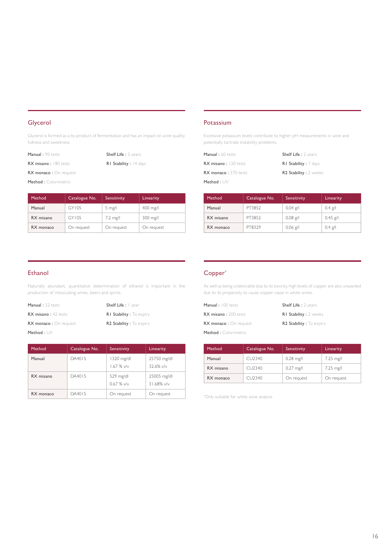#### Glycerol

Glycerol is formed as a by-product of fermentation and has an impact on wine quality, fullness and sweetness.

Manual: 90 tests

Shelf Life : 2 years

RX misano : 180 tests

R1 Stability : 14 days

RX monaco : On request

Method : Colorimetric

| Method    | Catalogue No. | Sensitivity | Linearity  |
|-----------|---------------|-------------|------------|
| Manual    | GY105         | $5$ mg/l    | 400 mg/l   |
| RX misano | GY105         | 7.2 mg/l    | 300 mg/l   |
| RX monaco | On request    | On request  | On request |

#### Potassium

Excessive potassium levels contribute to higher pH measurements in wine and potentially tartrate instability problems.

| Manual: 60 tests            | <b>Shelf Life:</b> 2 years   |
|-----------------------------|------------------------------|
| $RX$ misano: $120$ tests    | RI Stability : 7 days        |
| <b>RX</b> monaco: 370 tests | <b>R2 Stability: 2 weeks</b> |
| Method: $\cup\vee$          |                              |

| Method    | Catalogue No. | Sensitivity | Linearity  |
|-----------|---------------|-------------|------------|
| Manual    | PT3852        | $0.04$ g/l  | $0.4$ g/l  |
| RX misano | PT3852        | $0.08$ g/l  | $0.45$ g/l |
| RX monaco | PT8329        | $0.06$ g/l  | $0.4$ g/l  |

#### Ethanol

Naturally abundant, quantitative determination of ethanol is important in the production of intoxicating wines, beers and spirits.

| <b>Manual: 32 tests</b>    | Shelf Life: I year             |
|----------------------------|--------------------------------|
| <b>RX misano:</b> 42 tests | <b>RI Stability:</b> To expiry |
| RX monaco : On request     | R2 Stability : To expiry       |

Method : UV

| Method    | Catalogue No. | Sensitivity                 | Linearity                    |
|-----------|---------------|-----------------------------|------------------------------|
| Manual    | DA4015        | 1320 mg/dl<br>$1.67%$ v/v   | 25750 mg/dl<br>$32.6\%$ v/v  |
| RX misano | DA4015        | 529 mg/dl<br>$0.67$ % $v/v$ | 25005 mg/dl<br>$31.68\%$ v/v |
| RX monaco | DA4015        | On request                  | On request                   |

#### Copper\*

As well as being undesirable due to its toxicity, high levels of copper are also unwanted due to its propensity to cause copper casse in white wines.

| Manual: 100 tests           | <b>Shelf Life: 2 years</b> |
|-----------------------------|----------------------------|
| RX misano: 200 tests        | RI Stability : 2 weeks     |
| RX monaco: On request       | R2 Stability : To expiry   |
| <b>Method:</b> Colorimetric |                            |

| Method    | Catalogue No. | Sensitivity | Linearity  |
|-----------|---------------|-------------|------------|
| Manual    | CU2340        | $0.28$ mg/l | 7.25 mg/l  |
| RX misano | CU2340        | $0.27$ mg/l | 7.25 mg/l  |
| RX monaco | CU 2340       | On request  | On request |

\*Only suitable for white wine analysis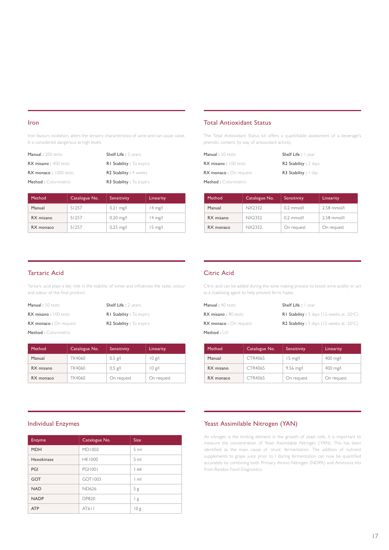#### Iron

Iron favours oxidation, alters the sensory characteristics of wine and can cause casse. It is considered dangerous at high levels.

| Manual: 200 tests        | <b>Shelf Life: 2 years</b>     |
|--------------------------|--------------------------------|
| $RX$ misano: $400$ tests | <b>RI Stability:</b> To expiry |
| RX monaco: 1000 tests    | <b>R2 Stability: 4 weeks</b>   |
| Method: Colorimetric     | R3 Stability : To expiry       |

| Method    | Catalogue No. | Sensitivity | Linearity         |
|-----------|---------------|-------------|-------------------|
| Manual    | S1257         | $0.21$ mg/l | 14 mg/l           |
| RX misano | S1257         | $0.20$ mg/l | $14 \text{ mg}/I$ |
| RX monaco | S1257         | $0.25$ mg/l | $15 \text{ mg/l}$ |

#### Total Antioxidant Status

The Total Antioxidant Status kit offers a quantifiable assessment of a beverage's phenolic content, by way of antioxidant activity.

| Manual: 50 tests         | Shelf Life: I year    |
|--------------------------|-----------------------|
| $RX$ misano: $100$ tests | R2 Stability : 2 days |
| RX monaco: On request    | R3 Stability :   day  |
| Method: Colorimetric     |                       |

| Method    | Catalogue No. | Sensitivity  | Linearity     |
|-----------|---------------|--------------|---------------|
| Manual    | NX2332        | $0.2$ mmol/l | $2.58$ mmol/l |
| RX misano | NX2332        | $0.2$ mmol/l | $2.58$ mmol/l |
| RX monaco | NX2332        | On request   | On request    |

#### Tartaric Acid

Tartaric acid plays a key role in the stability of wines and influences the taste, colour and odour of the final product.

| <b>Manual:</b> 50 tests     | <b>Shelf Life: 2 years</b>     |
|-----------------------------|--------------------------------|
| <b>RX misano: 100 tests</b> | <b>RI Stability:</b> To expiry |
| RX monaco : On request      | R2 Stability : To expiry       |

Method : Colorimetric

| Method    | Catalogue No. | Sensitivity | Linearity  |
|-----------|---------------|-------------|------------|
| Manual    | TK4060        | $0.5$ g/l   | 10g/       |
| RX misano | TK4060        | $0.5$ g/l   | 10g/       |
| RX monaco | TK4060        | On request  | On request |

#### Citric Acid

Citric acid can be added during the wine making process to boost wine acidity or act as a stabilising agent to help prevent ferric hazes.

| <b>Manual: 40 tests</b>    | Shelf Life: I year                                           |
|----------------------------|--------------------------------------------------------------|
| <b>RX misano: 80 tests</b> | <b>RI Stability</b> : $5$ days (12 weeks at $-20^{\circ}$ C) |
| RX monaco: On request      | <b>R2 Stability</b> : $3$ days (12 weeks at $-20^{\circ}$ C) |
| Method:UV                  |                                                              |

| Method    | Catalogue No. | Sensitivity       | Linearity  |
|-----------|---------------|-------------------|------------|
| Manual    | CTR4065       | $15 \text{ mg/l}$ | 400 mg/l   |
| RX misano | CTR4065       | 9.56 mg/l         | 400 mg/l   |
| RX monaco | CTR4065       | On request        | On request |

#### Individual Enzymes

| Enzyme      | Catalogue No.  | <b>Size</b>    |
|-------------|----------------|----------------|
| <b>MDH</b>  | MD1002         | 5 <sub>m</sub> |
| Hexokinase  | <b>HK1000</b>  | 5 <sub>m</sub> |
| PGI         | <b>PGI1001</b> | $\mathsf{m}$   |
| <b>GOT</b>  | GOT1003        | m              |
| <b>NAD</b>  | <b>ND626</b>   | 5g             |
| <b>NADP</b> | <b>DP820</b>   | l g            |
| <b>ATP</b>  | AT611          | 10g            |

#### Yeast Assimilable Nitrogen (YAN)

As nitrogen is the limiting element in the growth of yeast cells, it is important to measure the concentration of Yeast Assimilable Nitrogen (YAN). This has been identified as the main cause of 'stuck' fermentation. The addition of nutrient supplements to grape juice prior to / during fermentation can now be quantified accurately by combining both Primary Amino Nitrogen (NOPA) and Ammonia kits from Randox Food Diagnostics.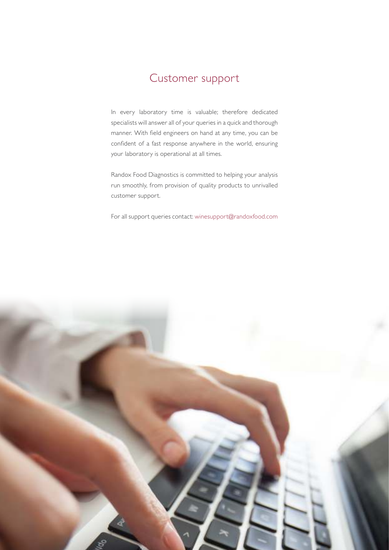### Customer support

In every laboratory time is valuable; therefore dedicated specialists will answer all of your queries in a quick and thorough manner. With field engineers on hand at any time, you can be confident of a fast response anywhere in the world, ensuring your laboratory is operational at all times.

Randox Food Diagnostics is committed to helping your analysis run smoothly, from provision of quality products to unrivalled customer support.

For all support queries contact: winesupport@randoxfood.com

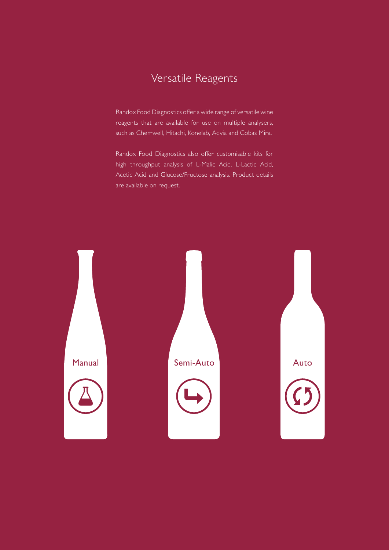## Versatile Reagents

Randox Food Diagnostics offer a wide range of versatile wine reagents that are available for use on multiple analysers, such as Chemwell, Hitachi, Konelab, Advia and Cobas Mira.

Randox Food Diagnostics also offer customisable kits for high throughput analysis of L-Malic Acid, L-Lactic Acid, Acetic Acid and Glucose/Fructose analysis. Product details are available on request.